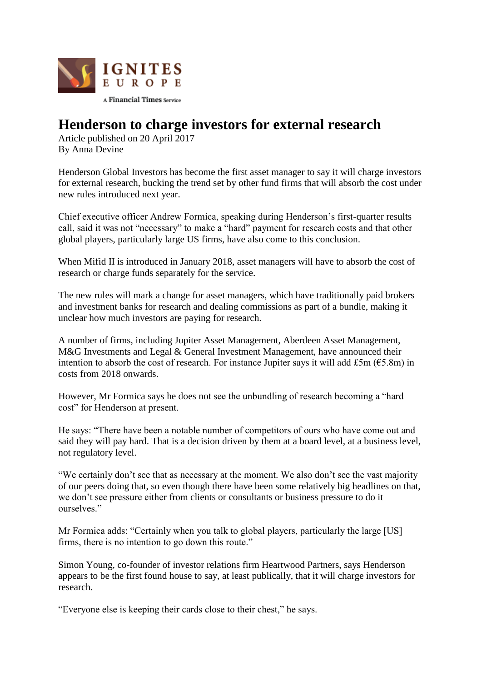

## **Henderson to charge investors for external research**

Article published on 20 April 2017 By Anna Devine

Henderson Global Investors has become the first asset manager to say it will charge investors for external research, bucking the trend set by other fund firms that will absorb the cost under new rules introduced next year.

Chief executive officer Andrew Formica, speaking during Henderson's first-quarter results call, said it was not "necessary" to make a "hard" payment for research costs and that other global players, particularly large US firms, have also come to this conclusion.

When Mifid II is introduced in January 2018, asset managers will have to absorb the cost of research or charge funds separately for the service.

The new rules will mark a change for asset managers, which have traditionally paid brokers and investment banks for research and dealing commissions as part of a bundle, making it unclear how much investors are paying for research.

A number of firms, including Jupiter Asset Management, Aberdeen Asset Management, M&G Investments and Legal & General Investment Management, have announced their intention to absorb the cost of research. For instance Jupiter says it will add £5m ( $65.8$ m) in costs from 2018 onwards.

However, Mr Formica says he does not see the unbundling of research becoming a "hard cost" for Henderson at present.

He says: "There have been a notable number of competitors of ours who have come out and said they will pay hard. That is a decision driven by them at a board level, at a business level, not regulatory level.

"We certainly don't see that as necessary at the moment. We also don't see the vast majority of our peers doing that, so even though there have been some relatively big headlines on that, we don't see pressure either from clients or consultants or business pressure to do it ourselves."

Mr Formica adds: "Certainly when you talk to global players, particularly the large [US] firms, there is no intention to go down this route."

Simon Young, co-founder of investor relations firm Heartwood Partners, says Henderson appears to be the first found house to say, at least publically, that it will charge investors for research.

"Everyone else is keeping their cards close to their chest," he says.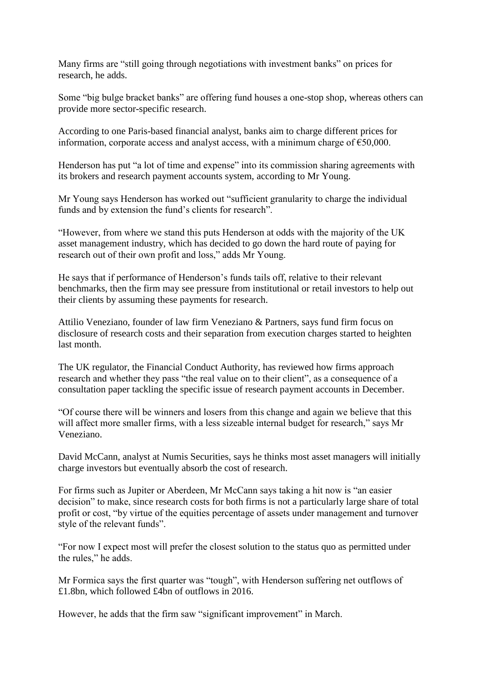Many firms are "still going through negotiations with investment banks" on prices for research, he adds.

Some "big bulge bracket banks" are offering fund houses a one-stop shop, whereas others can provide more sector-specific research.

According to one Paris-based financial analyst, banks aim to charge different prices for information, corporate access and analyst access, with a minimum charge of  $\epsilon$ 50,000.

Henderson has put "a lot of time and expense" into its commission sharing agreements with its brokers and research payment accounts system, according to Mr Young.

Mr Young says Henderson has worked out "sufficient granularity to charge the individual funds and by extension the fund's clients for research".

"However, from where we stand this puts Henderson at odds with the majority of the UK asset management industry, which has decided to go down the hard route of paying for research out of their own profit and loss," adds Mr Young.

He says that if performance of Henderson's funds tails off, relative to their relevant benchmarks, then the firm may see pressure from institutional or retail investors to help out their clients by assuming these payments for research.

Attilio Veneziano, founder of law firm Veneziano & Partners, says fund firm focus on disclosure of research costs and their separation from execution charges started to heighten last month.

The UK regulator, the Financial Conduct Authority, has reviewed how firms approach research and whether they pass "the real value on to their client", as a consequence of a consultation paper tackling the specific issue of research payment accounts in December.

"Of course there will be winners and losers from this change and again we believe that this will affect more smaller firms, with a less sizeable internal budget for research," says Mr Veneziano.

David McCann, analyst at Numis Securities, says he thinks most asset managers will initially charge investors but eventually absorb the cost of research.

For firms such as Jupiter or Aberdeen, Mr McCann says taking a hit now is "an easier decision" to make, since research costs for both firms is not a particularly large share of total profit or cost, "by virtue of the equities percentage of assets under management and turnover style of the relevant funds".

"For now I expect most will prefer the closest solution to the status quo as permitted under the rules," he adds.

Mr Formica says the first quarter was "tough", with Henderson suffering net outflows of £1.8bn, which followed £4bn of outflows in 2016.

However, he adds that the firm saw "significant improvement" in March.